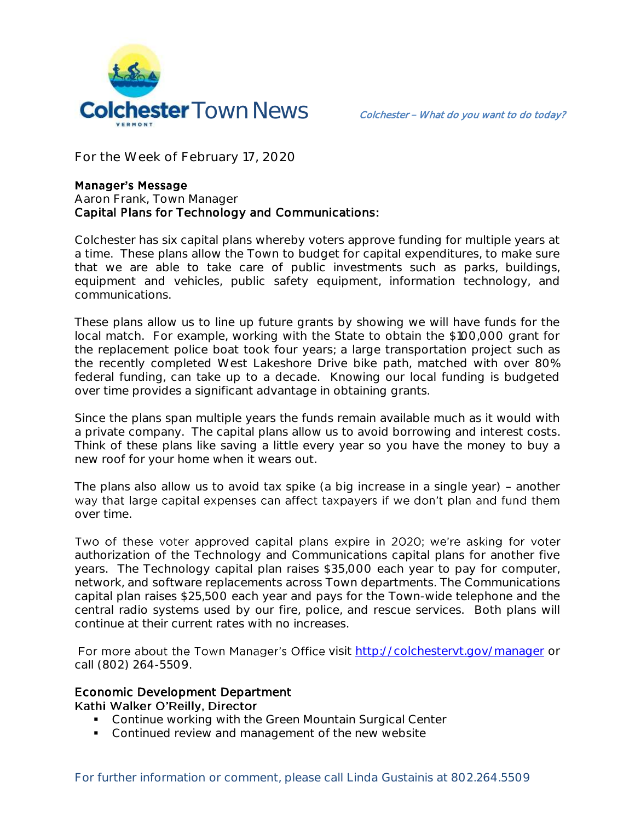

**For the Week of February 17, 2020**

## **Manager's Message**

## **Aaron Frank, Town Manager** Capital Plans for Technology and Communications:

Colchester has six capital plans whereby voters approve funding for multiple years at a time. These plans allow the Town to budget for capital expenditures, to make sure that we are able to take care of public investments such as parks, buildings, equipment and vehicles, public safety equipment, information technology, and communications.

These plans allow us to line up future grants by showing we will have funds for the local match. For example, working with the State to obtain the \$100,000 grant for the replacement police boat took four years; a large transportation project such as the recently completed West Lakeshore Drive bike path, matched with over 80% federal funding, can take up to a decade. Knowing our local funding is budgeted over time provides a significant advantage in obtaining grants.

Since the plans span multiple years the funds remain available much as it would with a private company. The capital plans allow us to avoid borrowing and interest costs. Think of these plans like saving a little every year so you have the money to buy a new roof for your home when it wears out.

The plans also allow us to avoid tax spike (a big increase in a single year) - another way that large capital expenses can affect taxpayers if we don't plan and fund them over time.

Two of these voter approved capital plans expire in 2020; we're asking for voter authorization of the Technology and Communications capital plans for another five years. The Technology capital plan raises \$35,000 each year to pay for computer, network, and software replacements across Town departments. The Communications capital plan raises \$25,500 each year and pays for the Town-wide telephone and the central radio systems used by our fire, police, and rescue services. Both plans will continue at their current rates with no increases.

For more about the Town Manager's Office visit<http://colchestervt.gov/manager> or call (802) 264-5509.

## Economic Development Department

Kathi Walker O'Reilly, Director

- **Continue working with the Green Mountain Surgical Center**
- **Continued review and management of the new website**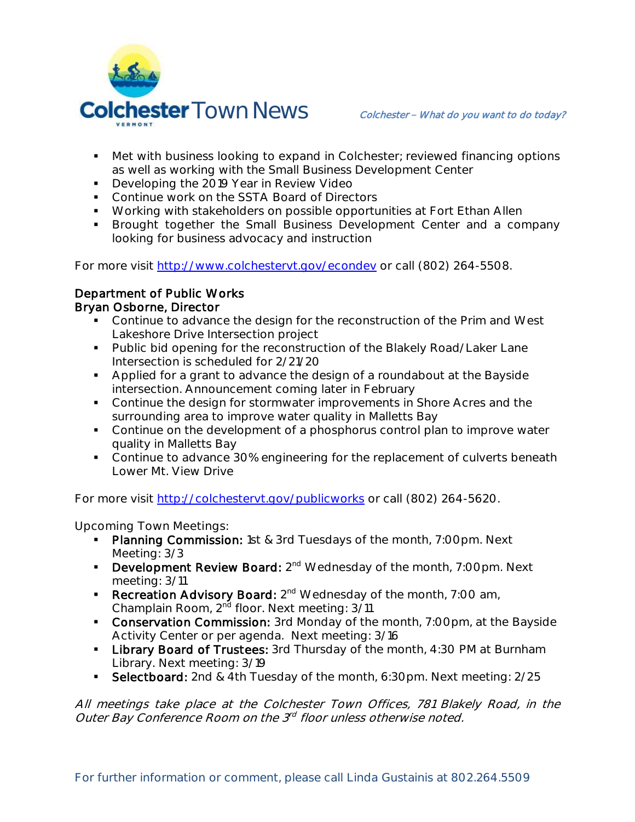

- Met with business looking to expand in Colchester; reviewed financing options as well as working with the Small Business Development Center
- Developing the 2019 Year in Review Video
- **Continue work on the SSTA Board of Directors**
- **Working with stakeholders on possible opportunities at Fort Ethan Allen**
- **Brought together the Small Business Development Center and a company** looking for business advocacy and instruction

For more visit [http://www.colchestervt.gov/e](http://www.colchestervt.gov/)condev or call (802) 264-5508.

## Department of Public Works Bryan Osborne, Director

- Continue to advance the design for the reconstruction of the Prim and West Lakeshore Drive Intersection project
- **Public bid opening for the reconstruction of the Blakely Road/Laker Lane** Intersection is scheduled for 2/21/20
- Applied for a grant to advance the design of a roundabout at the Bayside intersection. Announcement coming later in February
- **Continue the design for stormwater improvements in Shore Acres and the** surrounding area to improve water quality in Malletts Bay
- Continue on the development of a phosphorus control plan to improve water quality in Malletts Bay
- **Continue to advance 30% engineering for the replacement of culverts beneath** Lower Mt. View Drive

For more visit<http://colchestervt.gov/publicworks> or call (802) 264-5620.

**Upcoming Town Meetings:** 

- Planning Commission: 1st & 3rd Tuesdays of the month, 7:00pm. Next Meeting: 3/3
- **Development Review Board:** 2<sup>nd</sup> Wednesday of the month, 7:00pm. Next meeting: 3/11
- **Recreation Advisory Board:**  $2^{nd}$  Wednesday of the month, 7:00 am, Champlain Room, 2<sup>nd</sup> floor. Next meeting: 3/11
- **Conservation Commission:** 3rd Monday of the month, 7:00pm, at the Bayside Activity Center or per agenda. Next meeting: 3/16
- **Library Board of Trustees:** 3rd Thursday of the month, 4:30 PM at Burnham Library. Next meeting: 3/19
- Selectboard: 2nd & 4th Tuesday of the month, 6:30pm. Next meeting: 2/25

All meetings take place at the Colchester Town Offices, 781 Blakely Road, in the Outer Bay Conference Room on the 3<sup>rd</sup> floor unless otherwise noted.